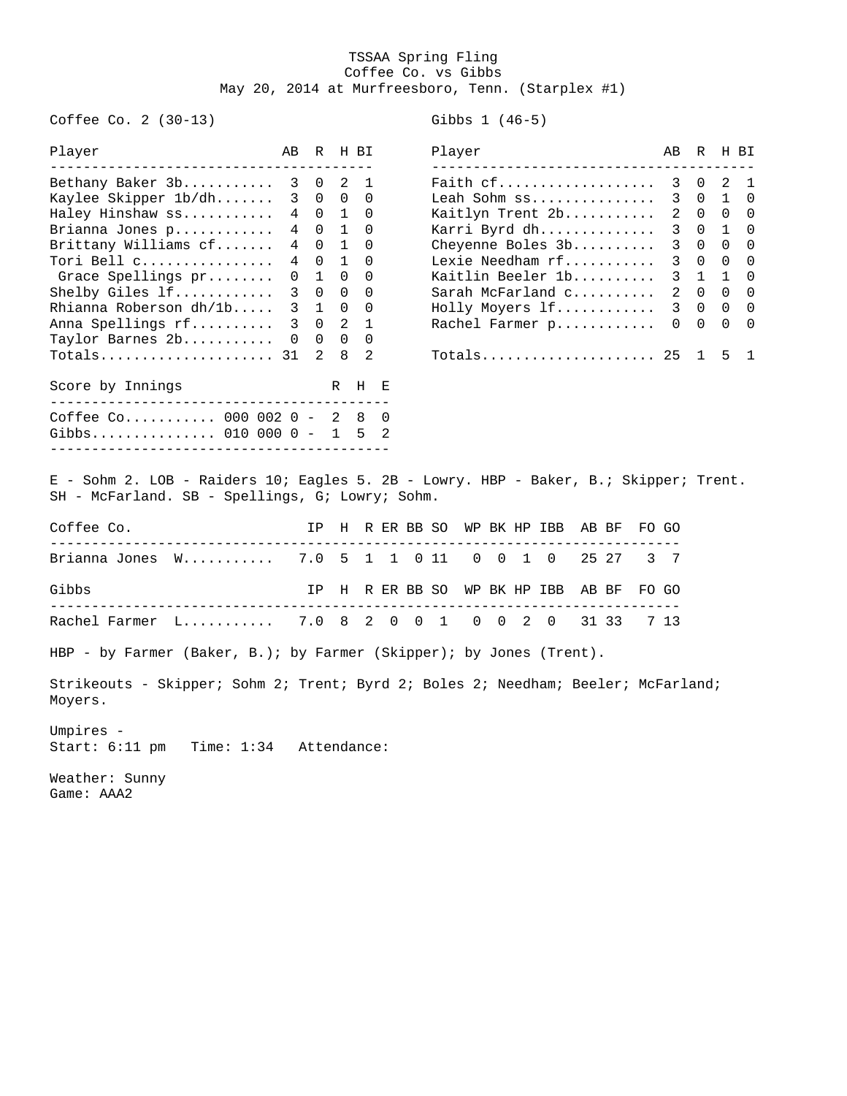## TSSAA Spring Fling Coffee Co. vs Gibbs May 20, 2014 at Murfreesboro, Tenn. (Starplex #1)

Coffee Co. 2 (30-13) Gibbs 1 (46-5)

Game: AAA2

| Player                                                                                                                                            | AВ           |                |                                         | R H BI               |  |  | Player |  |  |  |                                    |  |       |       | AB          | R H BI            |                |                  |
|---------------------------------------------------------------------------------------------------------------------------------------------------|--------------|----------------|-----------------------------------------|----------------------|--|--|--------|--|--|--|------------------------------------|--|-------|-------|-------------|-------------------|----------------|------------------|
| Bethany Baker 3b                                                                                                                                  | 3            | $\overline{0}$ | 2                                       | 1                    |  |  |        |  |  |  | Faith cf                           |  |       |       | 3           | $\mathbf{0}$      | 2              | 1                |
| Kaylee Skipper 1b/dh                                                                                                                              | 3<br>4       |                | $0\quad 0$<br>$0\quad 1$                | $\Omega$<br>$\Omega$ |  |  |        |  |  |  | Leah Sohm ss                       |  |       |       | $3^{\circ}$ | $\Omega$<br>2 0 0 | $\mathbf{1}$   | $\mathbf 0$<br>0 |
| Haley Hinshaw ss<br>Brianna Jones p                                                                                                               | 4            |                | $0\quad1$                               | 0                    |  |  |        |  |  |  | Kaitlyn Trent 2b<br>Karri Byrd dh  |  |       |       | 3           | $0\quad1$         |                | 0                |
| Brittany Williams cf                                                                                                                              | 4            |                | $0\quad 1$                              | 0                    |  |  |        |  |  |  | Cheyenne Boles 3b                  |  |       |       | 3           | $0 \quad 0$       |                | $\Omega$         |
| Tori Bell c                                                                                                                                       | 4            |                | $0\quad 1$                              | 0                    |  |  |        |  |  |  | Lexie Needham rf                   |  |       |       | 3           | $0\quad 0$        |                | 0                |
| Grace Spellings pr                                                                                                                                | 0            |                | $1 \quad 0$                             | $\Omega$             |  |  |        |  |  |  | Kaitlin Beeler 1b                  |  |       |       | 3           | $\mathbf{1}$      | $\overline{1}$ | 0                |
| Shelby Giles 1f                                                                                                                                   | 3            |                | $0\quad 0$                              | 0                    |  |  |        |  |  |  | Sarah McFarland c                  |  |       |       | $2^{\circ}$ |                   | $0\quad 0$     | 0                |
| Rhianna Roberson dh/1b                                                                                                                            | $\mathbf{3}$ |                | 1 0                                     | 0                    |  |  |        |  |  |  | Holly Moyers lf                    |  |       |       |             | 3 0 0             |                | 0                |
| Anna Spellings rf                                                                                                                                 | 3            |                | $0\quad 2$                              | 1                    |  |  |        |  |  |  | Rachel Farmer p                    |  |       |       |             | $0\quad 0$        | $\overline{0}$ | 0                |
| Taylor Barnes 2b                                                                                                                                  |              |                | $\begin{matrix} 0 & 0 & 0 \end{matrix}$ | 0                    |  |  |        |  |  |  |                                    |  |       |       |             |                   |                |                  |
| Totals 31                                                                                                                                         |              | $\mathbf{2}$   | 8                                       | 2                    |  |  |        |  |  |  | Totals                             |  |       |       | 25          | 1                 | 5              | 1                |
| Score by Innings                                                                                                                                  |              |                |                                         | R H E                |  |  |        |  |  |  |                                    |  |       |       |             |                   |                |                  |
| Coffee Co 000 002 0 - 2 8<br>0<br>Gibbs 010 000 0 - 1 5 2<br>E - Sohm 2. LOB - Raiders 10; Eagles 5. 2B - Lowry. HBP - Baker, B.; Skipper; Trent. |              |                |                                         |                      |  |  |        |  |  |  |                                    |  |       |       |             |                   |                |                  |
| SH - McFarland. SB - Spellings, G; Lowry; Sohm.                                                                                                   |              |                |                                         |                      |  |  |        |  |  |  |                                    |  |       |       |             |                   |                |                  |
| Coffee Co.                                                                                                                                        |              |                |                                         |                      |  |  |        |  |  |  | IP H R ER BB SO WP BK HP IBB AB BF |  |       | FO GO |             |                   |                |                  |
| Brianna Jones W 7.0 5 1 1 0 11 0 0 1 0                                                                                                            |              |                |                                         |                      |  |  |        |  |  |  |                                    |  | 25 27 |       | 3 7         |                   |                |                  |
| Gibbs                                                                                                                                             |              |                |                                         |                      |  |  |        |  |  |  | IP H R ER BB SO WP BK HP IBB       |  | AB BF | FO GO |             |                   |                |                  |
| Rachel Farmer L 7.0 8 2 0 0 1 0 0 2 0                                                                                                             |              |                |                                         |                      |  |  |        |  |  |  |                                    |  | 31 33 |       | 7 13        |                   |                |                  |
| HBP - by Farmer (Baker, B.); by Farmer (Skipper); by Jones (Trent).                                                                               |              |                |                                         |                      |  |  |        |  |  |  |                                    |  |       |       |             |                   |                |                  |
| Strikeouts - Skipper; Sohm 2; Trent; Byrd 2; Boles 2; Needham; Beeler; McFarland;<br>Moyers.                                                      |              |                |                                         |                      |  |  |        |  |  |  |                                    |  |       |       |             |                   |                |                  |
| Umpires -<br>Start: $6:11$ pm<br>Time: 1:34 Attendance:                                                                                           |              |                |                                         |                      |  |  |        |  |  |  |                                    |  |       |       |             |                   |                |                  |
| Weather: Sunny                                                                                                                                    |              |                |                                         |                      |  |  |        |  |  |  |                                    |  |       |       |             |                   |                |                  |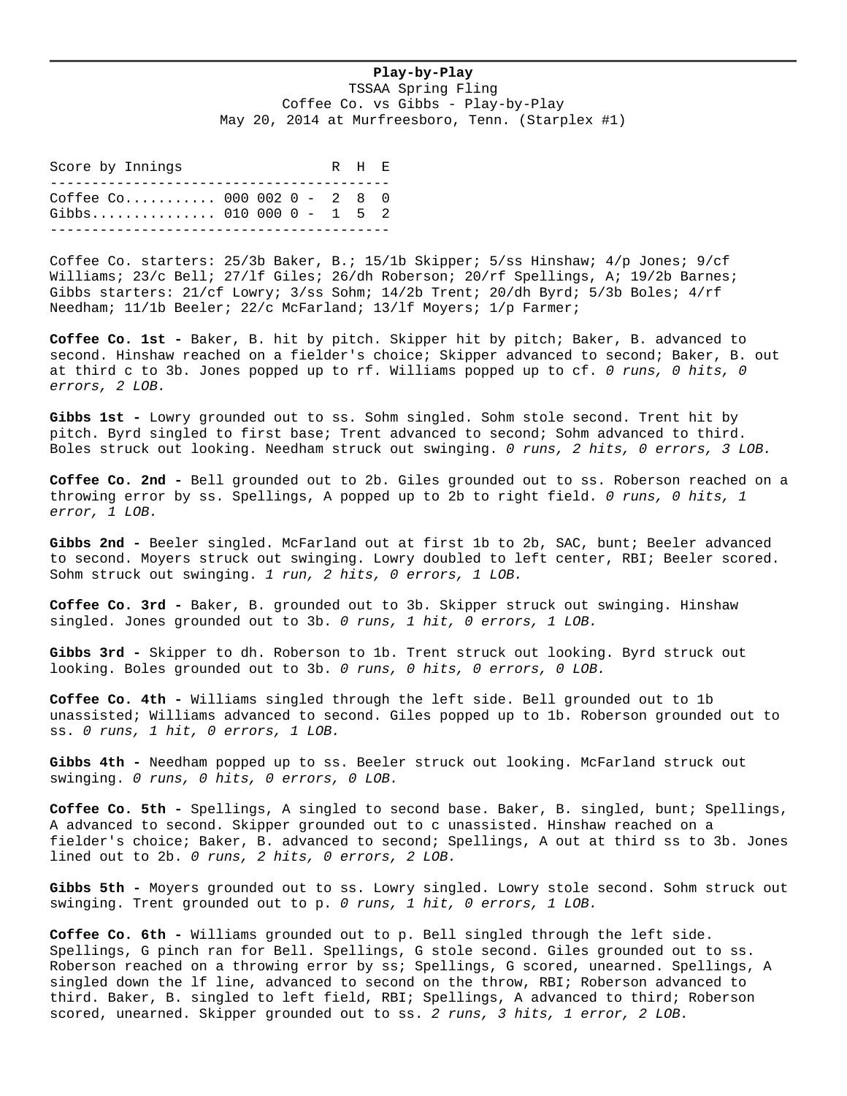## **Play-by-Play**

TSSAA Spring Fling Coffee Co. vs Gibbs - Play-by-Play May 20, 2014 at Murfreesboro, Tenn. (Starplex #1)

Score by Innings The R H E ----------------------------------------- Coffee Co........... 000 002 0 - 2 8 0 Gibbs............... 010 000 0 - 1 5 2 -----------------------------------------

Coffee Co. starters: 25/3b Baker, B.; 15/1b Skipper; 5/ss Hinshaw; 4/p Jones; 9/cf Williams; 23/c Bell; 27/lf Giles; 26/dh Roberson; 20/rf Spellings, A; 19/2b Barnes; Gibbs starters: 21/cf Lowry; 3/ss Sohm; 14/2b Trent; 20/dh Byrd; 5/3b Boles; 4/rf Needham; 11/1b Beeler; 22/c McFarland; 13/lf Moyers; 1/p Farmer;

**Coffee Co. 1st -** Baker, B. hit by pitch. Skipper hit by pitch; Baker, B. advanced to second. Hinshaw reached on a fielder's choice; Skipper advanced to second; Baker, B. out at third c to 3b. Jones popped up to rf. Williams popped up to cf. *0 runs, 0 hits, 0 errors, 2 LOB.*

**Gibbs 1st -** Lowry grounded out to ss. Sohm singled. Sohm stole second. Trent hit by pitch. Byrd singled to first base; Trent advanced to second; Sohm advanced to third. Boles struck out looking. Needham struck out swinging. *0 runs, 2 hits, 0 errors, 3 LOB.*

**Coffee Co. 2nd -** Bell grounded out to 2b. Giles grounded out to ss. Roberson reached on a throwing error by ss. Spellings, A popped up to 2b to right field. *0 runs, 0 hits, 1 error, 1 LOB.*

Gibbs 2nd - Beeler singled. McFarland out at first 1b to 2b, SAC, bunt; Beeler advanced to second. Moyers struck out swinging. Lowry doubled to left center, RBI; Beeler scored. Sohm struck out swinging. *1 run, 2 hits, 0 errors, 1 LOB.*

**Coffee Co. 3rd -** Baker, B. grounded out to 3b. Skipper struck out swinging. Hinshaw singled. Jones grounded out to 3b. *0 runs, 1 hit, 0 errors, 1 LOB.*

**Gibbs 3rd -** Skipper to dh. Roberson to 1b. Trent struck out looking. Byrd struck out looking. Boles grounded out to 3b. *0 runs, 0 hits, 0 errors, 0 LOB.*

**Coffee Co. 4th -** Williams singled through the left side. Bell grounded out to 1b unassisted; Williams advanced to second. Giles popped up to 1b. Roberson grounded out to ss. *0 runs, 1 hit, 0 errors, 1 LOB.*

Gibbs 4th - Needham popped up to ss. Beeler struck out looking. McFarland struck out swinging. *0 runs, 0 hits, 0 errors, 0 LOB.*

**Coffee Co. 5th -** Spellings, A singled to second base. Baker, B. singled, bunt; Spellings, A advanced to second. Skipper grounded out to c unassisted. Hinshaw reached on a fielder's choice; Baker, B. advanced to second; Spellings, A out at third ss to 3b. Jones lined out to 2b. *0 runs, 2 hits, 0 errors, 2 LOB.*

**Gibbs 5th -** Moyers grounded out to ss. Lowry singled. Lowry stole second. Sohm struck out swinging. Trent grounded out to p. *0 runs, 1 hit, 0 errors, 1 LOB.*

**Coffee Co. 6th -** Williams grounded out to p. Bell singled through the left side. Spellings, G pinch ran for Bell. Spellings, G stole second. Giles grounded out to ss. Roberson reached on a throwing error by ss; Spellings, G scored, unearned. Spellings, A singled down the lf line, advanced to second on the throw, RBI; Roberson advanced to third. Baker, B. singled to left field, RBI; Spellings, A advanced to third; Roberson scored, unearned. Skipper grounded out to ss. *2 runs, 3 hits, 1 error, 2 LOB.*